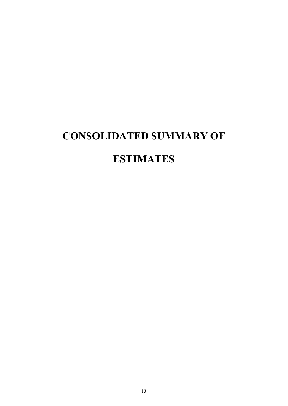# **CONSOLIDATED SUMMARY OF ESTIMATES**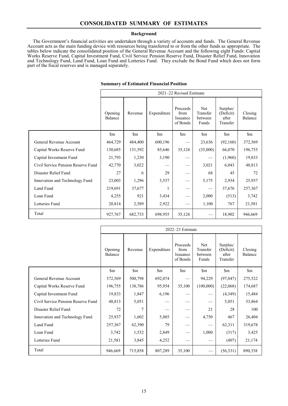#### **Background**

The Government's financial activities are undertaken through a variety of accounts and funds. The General Revenue Account acts as the main funding device with resources being transferred to or from the other funds as appropriate. The tables below indicate the consolidated position of the General Revenue Account and the following eight Funds: Capital Works Reserve Fund, Capital Investment Fund, Civil Service Pension Reserve Fund, Disaster Relief Fund, Innovation and Technology Fund, Land Fund, Loan Fund and Lotteries Fund. They exclude the Bond Fund which does not form part of the fiscal reserves and is managed separately.

|                                    | 2021-22 Revised Estimate |                        |                        |                                          |                                     |                                            |                        |  |
|------------------------------------|--------------------------|------------------------|------------------------|------------------------------------------|-------------------------------------|--------------------------------------------|------------------------|--|
|                                    | Opening<br>Balance       | Revenue                | Expenditure            | Proceeds<br>from<br>Issuance<br>of Bonds | Net<br>Transfer<br>between<br>Funds | Surplus/<br>(Deficit)<br>after<br>Transfer | Closing<br>Balance     |  |
|                                    | $\mathop{\mathrm{Sm}}$   | $\mathop{\mathrm{Sm}}$ | $\mathop{\mathrm{Sm}}$ | $\mathop{\mathrm{Sm}}$                   | $\mathfrak{m}$                      | $\mathop{\mathrm{Sm}}$                     | $\mathop{\mathrm{Sm}}$ |  |
| General Revenue Account            | 464,729                  | 484,400                | 600,196                |                                          | 23,636                              | (92,160)                                   | 372,569                |  |
| Capital Works Reserve Fund         | 130,685                  | 151,592                | 85,646                 | 35,124                                   | (35,000)                            | 66,070                                     | 196,755                |  |
| Capital Investment Fund            | 21,793                   | 1,230                  | 3,190                  |                                          |                                     | (1,960)                                    | 19,833                 |  |
| Civil Service Pension Reserve Fund | 42,770                   | 3,022                  |                        |                                          | 3,021                               | 6,043                                      | 48,813                 |  |
| Disaster Relief Fund               | 27                       | 6                      | 29                     |                                          | 68                                  | 45                                         | 72                     |  |
| Innovation and Technology Fund     | 23,003                   | 1,296                  | 3,537                  |                                          | 5,175                               | 2,934                                      | 25,937                 |  |
| Land Fund                          | 219,691                  | 37,677                 | 1                      |                                          |                                     | 37,676                                     | 257,367                |  |
| Loan Fund                          | 4,255                    | 921                    | 3,434                  |                                          | 2,000                               | (513)                                      | 3,742                  |  |
| Lotteries Fund                     | 20,814                   | 2,589                  | 2,922                  |                                          | 1,100                               | 767                                        | 21,581                 |  |
| Total                              | 927,767                  | 682,733                | 698,955                | 35,124                                   |                                     | 18,902                                     | 946,669                |  |
|                                    |                          |                        |                        |                                          |                                     |                                            |                        |  |

### **Summary of Estimated Financial Position**

|                                    | 2022-23 Estimate       |                        |                        |                                          |                                            |                                            |                        |
|------------------------------------|------------------------|------------------------|------------------------|------------------------------------------|--------------------------------------------|--------------------------------------------|------------------------|
|                                    | Opening<br>Balance     | Revenue                | Expenditure            | Proceeds<br>from<br>Issuance<br>of Bonds | <b>Net</b><br>Transfer<br>between<br>Funds | Surplus/<br>(Deficit)<br>after<br>Transfer | Closing<br>Balance     |
|                                    | $\mathop{\mathrm{Sm}}$ | $\mathop{\mathrm{Sm}}$ | $\mathop{\mathrm{Sm}}$ | $\mathop{\mathrm{Sm}}$                   | $\mathop{\mathrm{Sm}}$                     | $\mathop{\mathrm{Sm}}$                     | $\mathop{\mathrm{Sm}}$ |
| General Revenue Account            | 372,569                | 500,798                | 692,074                |                                          | 94,229                                     | (97, 047)                                  | 275,522                |
| Capital Works Reserve Fund         | 196,755                | 138,786                | 95,954                 | 35,100                                   | (100,000)                                  | (22,068)                                   | 174,687                |
| Capital Investment Fund            | 19,833                 | 1,847                  | 6,196                  |                                          |                                            | (4,349)                                    | 15,484                 |
| Civil Service Pension Reserve Fund | 48,813                 | 5,051                  |                        |                                          |                                            | 5,051                                      | 53,864                 |
| Disaster Relief Fund               | 72                     | 7                      |                        |                                          | 21                                         | 28                                         | 100                    |
| Innovation and Technology Fund     | 25,937                 | 1,602                  | 5,885                  |                                          | 4,750                                      | 467                                        | 26,404                 |
| Land Fund                          | 257,367                | 62,390                 | 79                     |                                          |                                            | 62,311                                     | 319,678                |
| Loan Fund                          | 3,742                  | 1,532                  | 2,849                  |                                          | 1,000                                      | (317)                                      | 3,425                  |
| Lotteries Fund                     | 21,581                 | 3,845                  | 4,252                  |                                          |                                            | (407)                                      | 21,174                 |
| Total                              | 946,669                | 715,858                | 807,289                | 35,100                                   |                                            | (56,331)                                   | 890,338                |